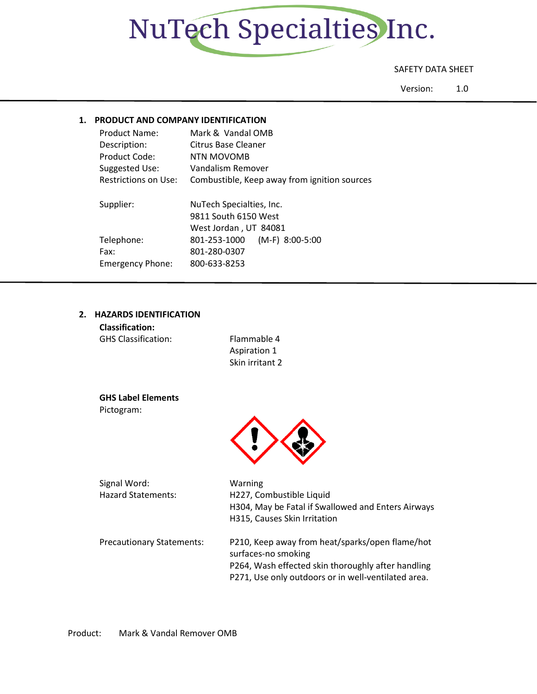

## SAFETY DATA SHEET

Version: 1.0

## **1. PRODUCT AND COMPANY IDENTIFICATION**

| <b>Product Name:</b>    | Mark & Vandal OMB                            |  |  |
|-------------------------|----------------------------------------------|--|--|
| Description:            | Citrus Base Cleaner                          |  |  |
| Product Code:           | NTN MOVOMB                                   |  |  |
| Suggested Use:          | Vandalism Remover                            |  |  |
| Restrictions on Use:    | Combustible, Keep away from ignition sources |  |  |
|                         |                                              |  |  |
| Supplier:               | NuTech Specialties, Inc.                     |  |  |
|                         |                                              |  |  |
|                         | 9811 South 6150 West                         |  |  |
|                         | West Jordan, UT 84081                        |  |  |
| Telephone:              | $(M-F)$ 8:00-5:00<br>801-253-1000            |  |  |
| Fax:                    | 801-280-0307                                 |  |  |
| <b>Emergency Phone:</b> | 800-633-8253                                 |  |  |

## **2. HAZARDS IDENTIFICATION**

| <b>Classification:</b>     |                 |
|----------------------------|-----------------|
| <b>GHS Classification:</b> | Flammable 4     |
|                            | Aspiration 1    |
|                            | Skin irritant 2 |

**GHS Label Elements** Pictogram:



| Signal Word:                     | Warning                                             |  |
|----------------------------------|-----------------------------------------------------|--|
| <b>Hazard Statements:</b>        | H227, Combustible Liquid                            |  |
|                                  | H304, May be Fatal if Swallowed and Enters Airways  |  |
|                                  | H315, Causes Skin Irritation                        |  |
|                                  |                                                     |  |
| <b>Precautionary Statements:</b> | P210, Keep away from heat/sparks/open flame/hot     |  |
|                                  | surfaces-no smoking                                 |  |
|                                  | P264, Wash effected skin thoroughly after handling  |  |
|                                  | P271, Use only outdoors or in well-ventilated area. |  |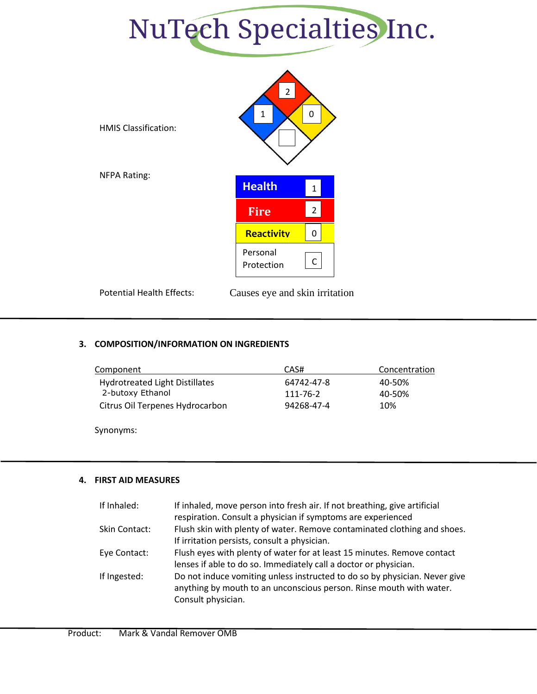



Potential Health Effects: Causes eye and skin irritation

## **3. COMPOSITION/INFORMATION ON INGREDIENTS**

| Component                             | CAS#       | Concentration |
|---------------------------------------|------------|---------------|
| <b>Hydrotreated Light Distillates</b> | 64742-47-8 | 40-50%        |
| 2-butoxy Ethanol                      | 111-76-2   | 40-50%        |
| Citrus Oil Terpenes Hydrocarbon       | 94268-47-4 | 10%           |
|                                       |            |               |

Synonyms:

## **4. FIRST AID MEASURES**

| If Inhaled:   | If inhaled, move person into fresh air. If not breathing, give artificial  |
|---------------|----------------------------------------------------------------------------|
|               | respiration. Consult a physician if symptoms are experienced               |
| Skin Contact: | Flush skin with plenty of water. Remove contaminated clothing and shoes.   |
|               | If irritation persists, consult a physician.                               |
| Eye Contact:  | Flush eyes with plenty of water for at least 15 minutes. Remove contact    |
|               | lenses if able to do so. Immediately call a doctor or physician.           |
| If Ingested:  | Do not induce vomiting unless instructed to do so by physician. Never give |
|               | anything by mouth to an unconscious person. Rinse mouth with water.        |
|               | Consult physician.                                                         |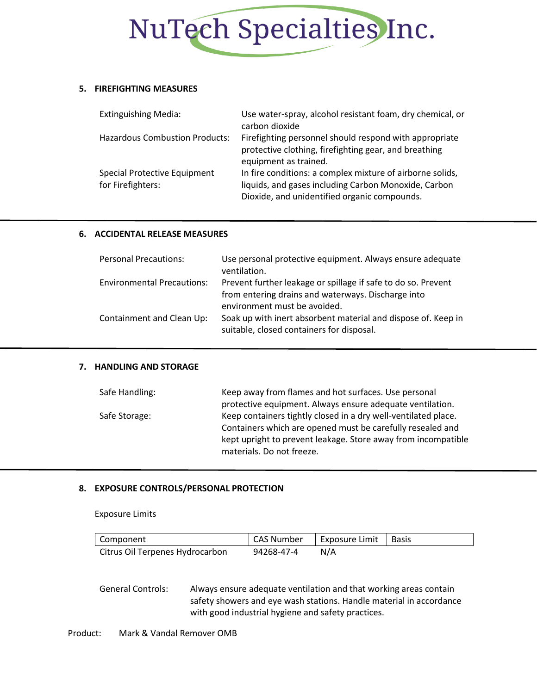

### **5. FIREFIGHTING MEASURES**

| <b>Extinguishing Media:</b>                       | Use water-spray, alcohol resistant foam, dry chemical, or<br>carbon dioxide                                                                                       |
|---------------------------------------------------|-------------------------------------------------------------------------------------------------------------------------------------------------------------------|
| <b>Hazardous Combustion Products:</b>             | Firefighting personnel should respond with appropriate<br>protective clothing, firefighting gear, and breathing<br>equipment as trained.                          |
| Special Protective Equipment<br>for Firefighters: | In fire conditions: a complex mixture of airborne solids,<br>liquids, and gases including Carbon Monoxide, Carbon<br>Dioxide, and unidentified organic compounds. |

### **6. ACCIDENTAL RELEASE MEASURES**

| <b>Personal Precautions:</b>      | Use personal protective equipment. Always ensure adequate<br>ventilation.                                                                  |
|-----------------------------------|--------------------------------------------------------------------------------------------------------------------------------------------|
| <b>Environmental Precautions:</b> | Prevent further leakage or spillage if safe to do so. Prevent<br>from entering drains and waterways. Discharge into                        |
| Containment and Clean Up:         | environment must be avoided.<br>Soak up with inert absorbent material and dispose of. Keep in<br>suitable, closed containers for disposal. |

## **7. HANDLING AND STORAGE**

| Safe Handling: | Keep away from flames and hot surfaces. Use personal           |
|----------------|----------------------------------------------------------------|
|                | protective equipment. Always ensure adequate ventilation.      |
| Safe Storage:  | Keep containers tightly closed in a dry well-ventilated place. |
|                | Containers which are opened must be carefully resealed and     |
|                | kept upright to prevent leakage. Store away from incompatible  |
|                | materials. Do not freeze.                                      |

### **8. EXPOSURE CONTROLS/PERSONAL PROTECTION**

Exposure Limits

| Component                       | CAS Number | Exposure Limit   Basis |  |
|---------------------------------|------------|------------------------|--|
| Citrus Oil Terpenes Hydrocarbon | 94268-47-4 | N/A                    |  |

General Controls: Always ensure adequate ventilation and that working areas contain safety showers and eye wash stations. Handle material in accordance with good industrial hygiene and safety practices.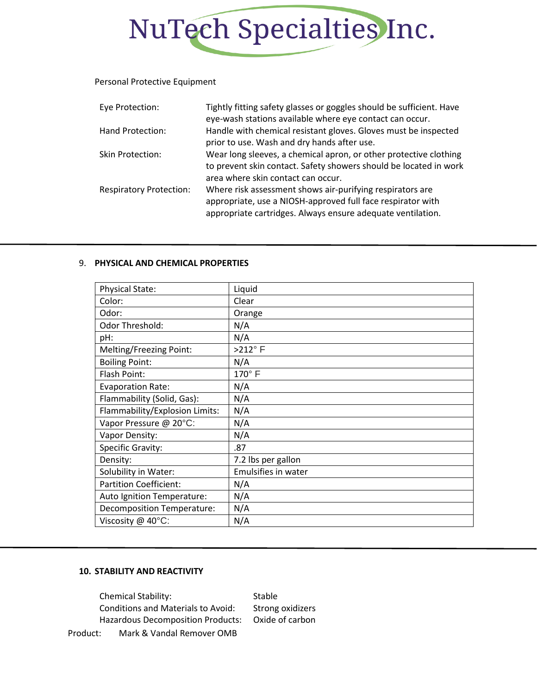# NuTech Specialties Inc.

### Personal Protective Equipment

| Eye Protection:                | Tightly fitting safety glasses or goggles should be sufficient. Have<br>eye-wash stations available where eye contact can occur.                                                        |
|--------------------------------|-----------------------------------------------------------------------------------------------------------------------------------------------------------------------------------------|
| Hand Protection:               | Handle with chemical resistant gloves. Gloves must be inspected<br>prior to use. Wash and dry hands after use.                                                                          |
| <b>Skin Protection:</b>        | Wear long sleeves, a chemical apron, or other protective clothing<br>to prevent skin contact. Safety showers should be located in work<br>area where skin contact can occur.            |
| <b>Respiratory Protection:</b> | Where risk assessment shows air-purifying respirators are<br>appropriate, use a NIOSH-approved full face respirator with<br>appropriate cartridges. Always ensure adequate ventilation. |

## 9. **PHYSICAL AND CHEMICAL PROPERTIES**

| <b>Physical State:</b>            | Liquid              |
|-----------------------------------|---------------------|
| Color:                            | Clear               |
| Odor:                             | Orange              |
| Odor Threshold:                   | N/A                 |
| pH:                               | N/A                 |
| Melting/Freezing Point:           | $>212^\circ$ F      |
| <b>Boiling Point:</b>             | N/A                 |
| Flash Point:                      | 170° F              |
| <b>Evaporation Rate:</b>          | N/A                 |
| Flammability (Solid, Gas):        | N/A                 |
| Flammability/Explosion Limits:    | N/A                 |
| Vapor Pressure @ 20°C:            | N/A                 |
| Vapor Density:                    | N/A                 |
| Specific Gravity:                 | .87                 |
| Density:                          | 7.2 lbs per gallon  |
| Solubility in Water:              | Emulsifies in water |
| <b>Partition Coefficient:</b>     | N/A                 |
| Auto Ignition Temperature:        | N/A                 |
| <b>Decomposition Temperature:</b> | N/A                 |
| Viscosity @ 40°C:                 | N/A                 |

## **10. STABILITY AND REACTIVITY**

Product: Mark & Vandal Remover OMB Chemical Stability: Stable Conditions and Materials to Avoid: Strong oxidizers Hazardous Decomposition Products: Oxide of carbon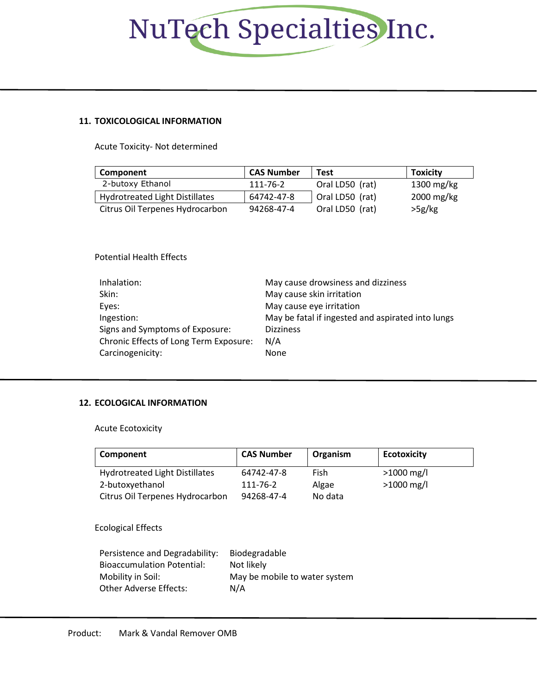# NuTech Specialties Inc.

## **11. TOXICOLOGICAL INFORMATION**

Acute Toxicity- Not determined

| Component                       | <b>CAS Number</b> | Test            | <b>Toxicity</b> |
|---------------------------------|-------------------|-----------------|-----------------|
| 2-butoxy Ethanol                | 111-76-2          | Oral LD50 (rat) | 1300 mg/kg      |
| Hydrotreated Light Distillates  | 64742-47-8        | Oral LD50 (rat) | 2000 mg/kg      |
| Citrus Oil Terpenes Hydrocarbon | 94268-47-4        | Oral LD50 (rat) | >5g/kg          |

Potential Health Effects

| Inhalation:                                   | May cause drowsiness and dizziness                |
|-----------------------------------------------|---------------------------------------------------|
| Skin:                                         | May cause skin irritation                         |
| Eyes:                                         | May cause eye irritation                          |
| Ingestion:                                    | May be fatal if ingested and aspirated into lungs |
| Signs and Symptoms of Exposure:               | <b>Dizziness</b>                                  |
| <b>Chronic Effects of Long Term Exposure:</b> | N/A                                               |
| Carcinogenicity:                              | None                                              |

## **12. ECOLOGICAL INFORMATION**

Acute Ecotoxicity

| Component                             | <b>CAS Number</b> | Organism | <b>Ecotoxicity</b> |
|---------------------------------------|-------------------|----------|--------------------|
| <b>Hydrotreated Light Distillates</b> | 64742-47-8        | Fish     | $>1000$ mg/l       |
| 2-butoxyethanol                       | 111-76-2          | Algae    | $>1000$ mg/l       |
| Citrus Oil Terpenes Hydrocarbon       | 94268-47-4        | No data  |                    |

Ecological Effects

| Persistence and Degradability:    | Biodegradable                 |
|-----------------------------------|-------------------------------|
| <b>Bioaccumulation Potential:</b> | Not likely                    |
| Mobility in Soil:                 | May be mobile to water system |
| Other Adverse Effects:            | N/A                           |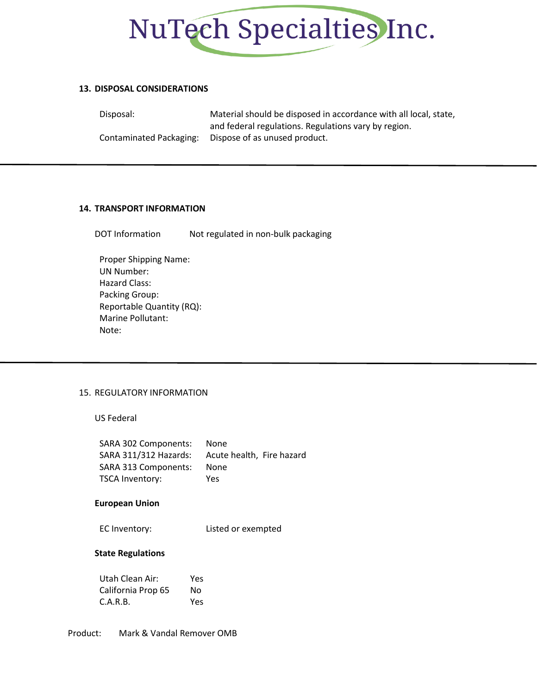

### **13. DISPOSAL CONSIDERATIONS**

Disposal: Material should be disposed in accordance with all local, state, and federal regulations. Regulations vary by region. Contaminated Packaging: Dispose of as unused product.

### **14. TRANSPORT INFORMATION**

DOT Information Not regulated in non-bulk packaging

Proper Shipping Name: UN Number: Hazard Class: Packing Group: Reportable Quantity (RQ): Marine Pollutant: Note:

## 15. REGULATORY INFORMATION

US Federal

| SARA 302 Components:  | None                      |
|-----------------------|---------------------------|
| SARA 311/312 Hazards: | Acute health, Fire hazard |
| SARA 313 Components:  | None                      |
| TSCA Inventory:       | Yes                       |

### **European Union**

EC Inventory: Listed or exempted

### **State Regulations**

| Utah Clean Air:    | Yes |
|--------------------|-----|
| California Prop 65 | Nο  |
| C.A.R.B.           | Yes |

Product: Mark & Vandal Remover OMB